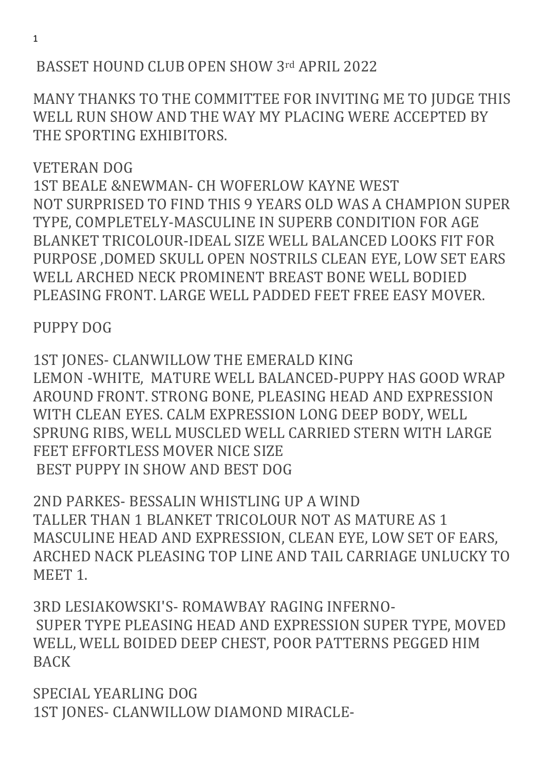# BASSET HOUND CLUB OPEN SHOW 3rd APRIL 2022

MANY THANKS TO THE COMMITTEE FOR INVITING ME TO JUDGE THIS WELL RUN SHOW AND THE WAY MY PLACING WERE ACCEPTED BY THE SPORTING EXHIBITORS.

VETERAN DOG 1ST BEALE &NEWMAN- CH WOFERLOW KAYNE WEST NOT SURPRISED TO FIND THIS 9 YEARS OLD WAS A CHAMPION SUPER TYPE, COMPLETELY-MASCULINE IN SUPERB CONDITION FOR AGE BLANKET TRICOLOUR-IDEAL SIZE WELL BALANCED LOOKS FIT FOR PURPOSE ,DOMED SKULL OPEN NOSTRILS CLEAN EYE, LOW SET EARS WELL ARCHED NECK PROMINENT BREAST BONE WELL BODIED PLEASING FRONT. LARGE WELL PADDED FEET FREE EASY MOVER.

# PUPPY DOG

1ST JONES- CLANWILLOW THE EMERALD KING LEMON -WHITE, MATURE WELL BALANCED-PUPPY HAS GOOD WRAP AROUND FRONT. STRONG BONE, PLEASING HEAD AND EXPRESSION WITH CLEAN EYES. CALM EXPRESSION LONG DEEP BODY, WELL SPRUNG RIBS, WELL MUSCLED WELL CARRIED STERN WITH LARGE FEET EFFORTLESS MOVER NICE SIZE BEST PUPPY IN SHOW AND BEST DOG

2ND PARKES- BESSALIN WHISTLING UP A WIND TALLER THAN 1 BLANKET TRICOLOUR NOT AS MATURE AS 1 MASCULINE HEAD AND EXPRESSION, CLEAN EYE, LOW SET OF EARS, ARCHED NACK PLEASING TOP LINE AND TAIL CARRIAGE UNLUCKY TO MEET 1.

3RD LESIAKOWSKI'S- ROMAWBAY RAGING INFERNO- SUPER TYPE PLEASING HEAD AND EXPRESSION SUPER TYPE, MOVED WELL, WELL BOIDED DEEP CHEST, POOR PATTERNS PEGGED HIM BACK

SPECIAL YEARLING DOG 1ST JONES- CLANWILLOW DIAMOND MIRACLE-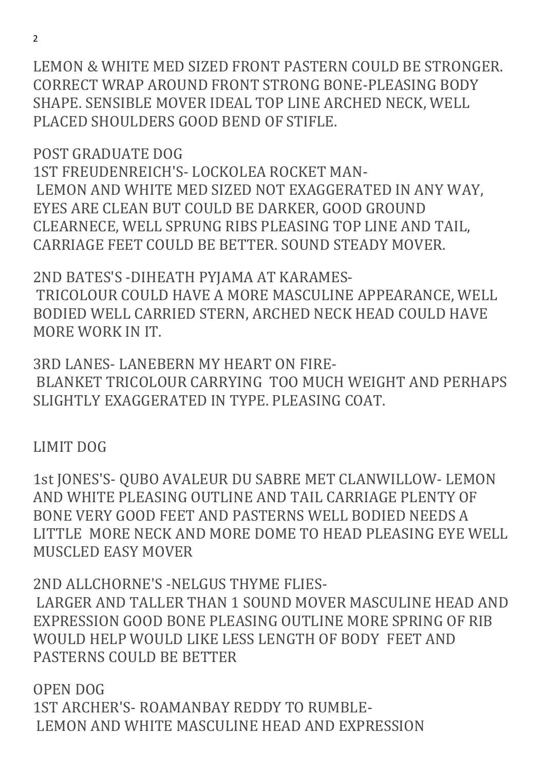LEMON & WHITE MED SIZED FRONT PASTERN COULD BE STRONGER. CORRECT WRAP AROUND FRONT STRONG BONE-PLEASING BODY SHAPE. SENSIBLE MOVER IDEAL TOP LINE ARCHED NECK, WELL PLACED SHOULDERS GOOD BEND OF STIFLE.

POST GRADUATE DOG

1ST FREUDENREICH'S- LOCKOLEA ROCKET MAN- LEMON AND WHITE MED SIZED NOT EXAGGERATED IN ANY WAY, EYES ARE CLEAN BUT COULD BE DARKER, GOOD GROUND CLEARNECE, WELL SPRUNG RIBS PLEASING TOP LINE AND TAIL, CARRIAGE FEET COULD BE BETTER. SOUND STEADY MOVER.

2ND BATES'S -DIHEATH PYJAMA AT KARAMES- TRICOLOUR COULD HAVE A MORE MASCULINE APPEARANCE, WELL BODIED WELL CARRIED STERN, ARCHED NECK HEAD COULD HAVE MORE WORK IN IT.

3RD LANES- LANEBERN MY HEART ON FIRE- BLANKET TRICOLOUR CARRYING TOO MUCH WEIGHT AND PERHAPS SLIGHTLY EXAGGERATED IN TYPE. PLEASING COAT.

LIMIT DOG

1st JONES'S- QUBO AVALEUR DU SABRE MET CLANWILLOW- LEMON AND WHITE PLEASING OUTLINE AND TAIL CARRIAGE PLENTY OF BONE VERY GOOD FEET AND PASTERNS WELL BODIED NEEDS A LITTLE MORE NECK AND MORE DOME TO HEAD PLEASING EYE WELL MUSCLED EASY MOVER

2ND ALLCHORNE'S -NELGUS THYME FLIES- LARGER AND TALLER THAN 1 SOUND MOVER MASCULINE HEAD AND EXPRESSION GOOD BONE PLEASING OUTLINE MORE SPRING OF RIB WOULD HELP WOULD LIKE LESS LENGTH OF BODY FEET AND PASTERNS COULD BE BETTER

OPEN DOG 1ST ARCHER'S- ROAMANBAY REDDY TO RUMBLE- LEMON AND WHITE MASCULINE HEAD AND EXPRESSION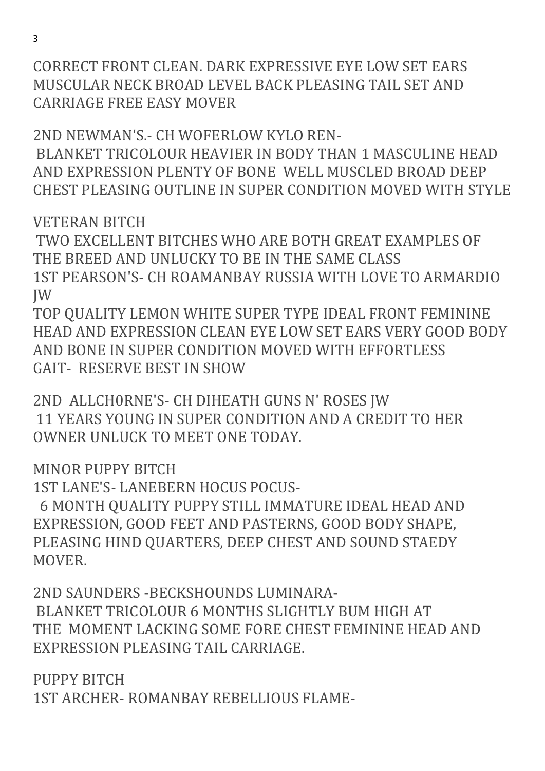CORRECT FRONT CLEAN. DARK EXPRESSIVE EYE LOW SET EARS MUSCULAR NECK BROAD LEVEL BACK PLEASING TAIL SET AND CARRIAGE FREE EASY MOVER

2ND NEWMAN'S.- CH WOFERLOW KYLO REN- BLANKET TRICOLOUR HEAVIER IN BODY THAN 1 MASCULINE HEAD AND EXPRESSION PLENTY OF BONE WELL MUSCLED BROAD DEEP CHEST PLEASING OUTLINE IN SUPER CONDITION MOVED WITH STYLE

VETERAN BITCH

 TWO EXCELLENT BITCHES WHO ARE BOTH GREAT EXAMPLES OF THE BREED AND UNLUCKY TO BE IN THE SAME CLASS 1ST PEARSON'S- CH ROAMANBAY RUSSIA WITH LOVE TO ARMARDIO JW

TOP QUALITY LEMON WHITE SUPER TYPE IDEAL FRONT FEMININE HEAD AND EXPRESSION CLEAN EYE LOW SET EARS VERY GOOD BODY AND BONE IN SUPER CONDITION MOVED WITH EFFORTLESS GAIT- RESERVE BEST IN SHOW

2ND ALLCH0RNE'S- CH DIHEATH GUNS N' ROSES JW 11 YEARS YOUNG IN SUPER CONDITION AND A CREDIT TO HER OWNER UNLUCK TO MEET ONE TODAY.

MINOR PUPPY BITCH

1ST LANE'S- LANEBERN HOCUS POCUS-

 6 MONTH QUALITY PUPPY STILL IMMATURE IDEAL HEAD AND EXPRESSION, GOOD FEET AND PASTERNS, GOOD BODY SHAPE, PLEASING HIND QUARTERS, DEEP CHEST AND SOUND STAEDY MOVER.

2ND SAUNDERS -BECKSHOUNDS LUMINARA- BLANKET TRICOLOUR 6 MONTHS SLIGHTLY BUM HIGH AT THE MOMENT LACKING SOME FORE CHEST FEMININE HEAD AND EXPRESSION PLEASING TAIL CARRIAGE.

PUPPY BITCH 1ST ARCHER- ROMANBAY REBELLIOUS FLAME-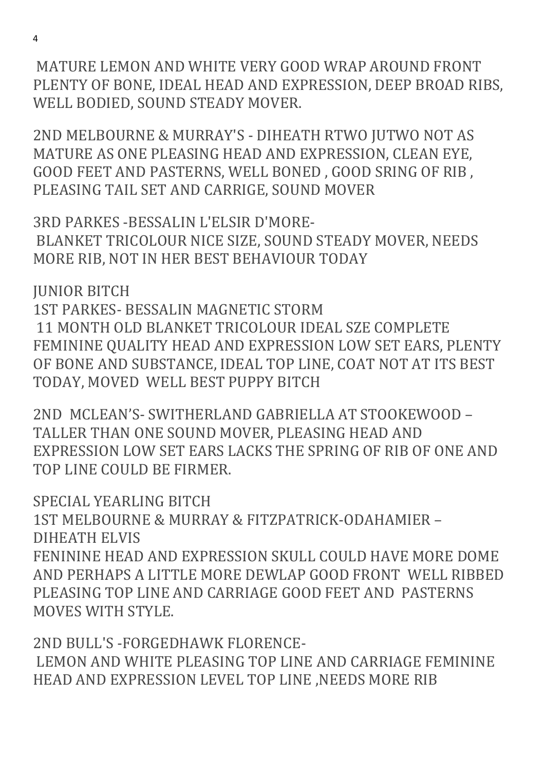MATURE LEMON AND WHITE VERY GOOD WRAP AROUND FRONT PLENTY OF BONE, IDEAL HEAD AND EXPRESSION, DEEP BROAD RIBS, WELL BODIED, SOUND STEADY MOVER.

2ND MELBOURNE & MURRAY'S - DIHEATH RTWO JUTWO NOT AS MATURE AS ONE PLEASING HEAD AND EXPRESSION, CLEAN EYE, GOOD FEET AND PASTERNS, WELL BONED , GOOD SRING OF RIB , PLEASING TAIL SET AND CARRIGE, SOUND MOVER

3RD PARKES -BESSALIN L'ELSIR D'MORE- BLANKET TRICOLOUR NICE SIZE, SOUND STEADY MOVER, NEEDS MORE RIB, NOT IN HER BEST BEHAVIOUR TODAY

JUNIOR BITCH 1ST PARKES- BESSALIN MAGNETIC STORM 11 MONTH OLD BLANKET TRICOLOUR IDEAL SZE COMPLETE FEMININE QUALITY HEAD AND EXPRESSION LOW SET EARS, PLENTY OF BONE AND SUBSTANCE, IDEAL TOP LINE, COAT NOT AT ITS BEST TODAY, MOVED WELL BEST PUPPY BITCH

2ND MCLEAN'S- SWITHERLAND GABRIELLA AT STOOKEWOOD – TALLER THAN ONE SOUND MOVER, PLEASING HEAD AND EXPRESSION LOW SET EARS LACKS THE SPRING OF RIB OF ONE AND TOP LINE COULD BE FIRMER.

SPECIAL YEARLING BITCH 1ST MELBOURNE & MURRAY & FITZPATRICK-ODAHAMIER – DIHEATH ELVIS FENININE HEAD AND EXPRESSION SKULL COULD HAVE MORE DOME AND PERHAPS A LITTLE MORE DEWLAP GOOD FRONT WELL RIBBED PLEASING TOP LINE AND CARRIAGE GOOD FEET AND PASTERNS MOVES WITH STYLE.

2ND BULL'S -FORGEDHAWK FLORENCE- LEMON AND WHITE PLEASING TOP LINE AND CARRIAGE FEMININE HEAD AND EXPRESSION LEVEL TOP LINE ,NEEDS MORE RIB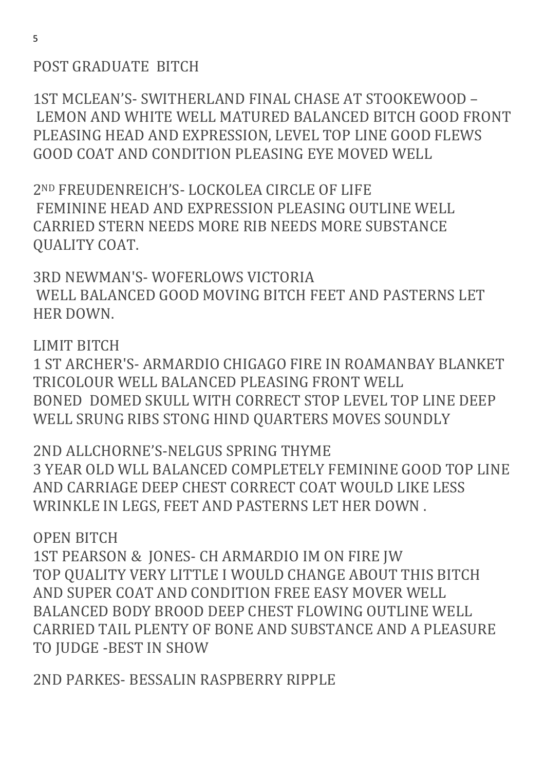## POST GRADUATE BITCH

1ST MCLEAN'S- SWITHERLAND FINAL CHASE AT STOOKEWOOD – LEMON AND WHITE WELL MATURED BALANCED BITCH GOOD FRONT PLEASING HEAD AND EXPRESSION, LEVEL TOP LINE GOOD FLEWS GOOD COAT AND CONDITION PLEASING EYE MOVED WELL

2ND FREUDENREICH'S- LOCKOLEA CIRCLE OF LIFE FEMININE HEAD AND EXPRESSION PLEASING OUTLINE WELL CARRIED STERN NEEDS MORE RIB NEEDS MORE SUBSTANCE QUALITY COAT.

3RD NEWMAN'S- WOFERLOWS VICTORIA WELL BALANCED GOOD MOVING BITCH FEET AND PASTERNS LET HER DOWN.

### LIMIT BITCH

1 ST ARCHER'S- ARMARDIO CHIGAGO FIRE IN ROAMANBAY BLANKET TRICOLOUR WELL BALANCED PLEASING FRONT WELL BONED DOMED SKULL WITH CORRECT STOP LEVEL TOP LINE DEEP WELL SRUNG RIBS STONG HIND QUARTERS MOVES SOUNDLY

2ND ALLCHORNE'S-NELGUS SPRING THYME 3 YEAR OLD WLL BALANCED COMPLETELY FEMININE GOOD TOP LINE AND CARRIAGE DEEP CHEST CORRECT COAT WOULD LIKE LESS WRINKLE IN LEGS, FEET AND PASTERNS LET HER DOWN .

OPEN BITCH

1ST PEARSON & JONES- CH ARMARDIO IM ON FIRE JW TOP QUALITY VERY LITTLE I WOULD CHANGE ABOUT THIS BITCH AND SUPER COAT AND CONDITION FREE EASY MOVER WELL BALANCED BODY BROOD DEEP CHEST FLOWING OUTLINE WELL CARRIED TAIL PLENTY OF BONE AND SUBSTANCE AND A PLEASURE TO JUDGE -BEST IN SHOW

2ND PARKES- BESSALIN RASPBERRY RIPPLE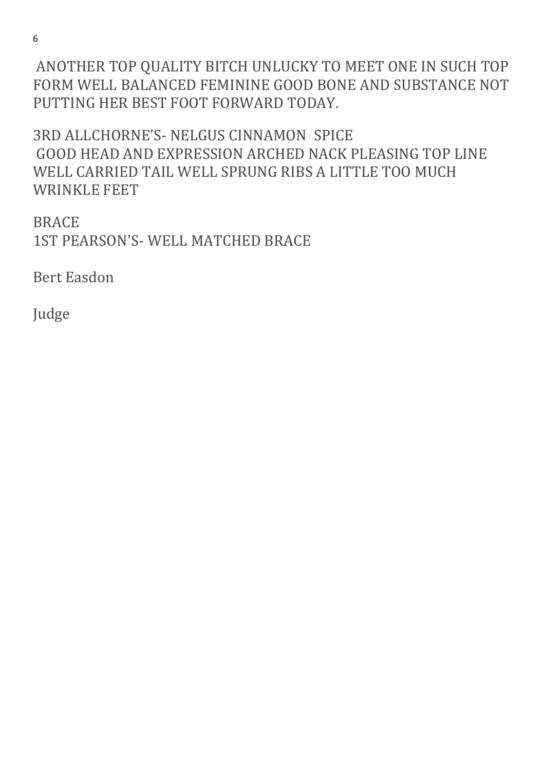6

 ANOTHER TOP QUALITY BITCH UNLUCKY TO MEET ONE IN SUCH TOP FORM WELL BALANCED FEMININE GOOD BONE AND SUBSTANCE NOT PUTTING HER BEST FOOT FORWARD TODAY.

3RD ALLCHORNE'S- NELGUS CINNAMON SPICE GOOD HEAD AND EXPRESSION ARCHED NACK PLEASING TOP LINE WELL CARRIED TAIL WELL SPRUNG RIBS A LITTLE TOO MUCH WRINKLE FEET

BRACE 1ST PEARSON'S- WELL MATCHED BRACE

Bert Easdon

Judge